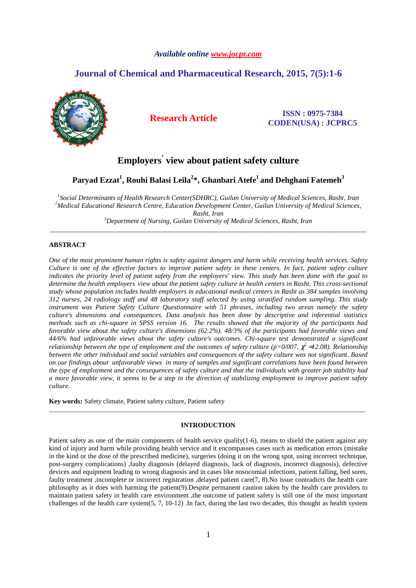## *Available online www.jocpr.com*

# **Journal of Chemical and Pharmaceutical Research, 2015, 7(5):1-6**



# **Research Article ISSN : 0975-7384 CODEN(USA) : JCPRC5**

# **Employers' view about patient safety culture**

# **Paryad Ezzat<sup>1</sup> , Rouhi Balasi Leila<sup>2</sup> \*, Ghanbari Atefe<sup>1</sup>and Dehghani Fatemeh<sup>3</sup>**

*1 Social Determinants of Health Research Center(SDHRC), Guilan University of Medical Sciences, Rasht, Iran <sup>2</sup>Medical Educational Research Centre, Education Development Center, Guilan University of Medical Sciences, Rasht, Iran* 

*<sup>3</sup>Department of Nursing, Guilan University of Medical Sciences, Rasht, Iran*  \_\_\_\_\_\_\_\_\_\_\_\_\_\_\_\_\_\_\_\_\_\_\_\_\_\_\_\_\_\_\_\_\_\_\_\_\_\_\_\_\_\_\_\_\_\_\_\_\_\_\_\_\_\_\_\_\_\_\_\_\_\_\_\_\_\_\_\_\_\_\_\_\_\_\_\_\_\_\_\_\_\_\_\_\_\_\_\_\_\_\_\_\_

# **ABSTRACT**

*One of the most prominent human rights is safety against dangers and harm while receiving health services. Safety Culture is one of the effective factors to improve patient safety in these centers. In fact, patient safety culture indicates the priority level of patient safety from the employers' view. This study has been done with the goal to*  determine the health employers<sup>'</sup> view about the patient safety culture in health centers in Rasht. This cross-sectional *study whose population includes health employers in educational medical centers in Rasht as 384 samples involving 312 nurses, 24 radiology staff and 48 laboratory staff selected by using stratified random sampling. This study instrument was Patient Safety Culture Questionnaire with 51 phrases, including two areas namely the safety culture's dimensions and consequences. Data analysis has been done by descriptive and inferential statistics methods such as chi-square in SPSS version 16. The results showed that the majority of the participants had favorable view about the safety culture's dimensions (62.2%). 48/3% of the participants had favorable views and 44/6% had unfavorable views about the safety culture's outcomes. Chi-square test demonstrated a significant relationship between the type of employment and the outcomes of safety culture (p>0/007,*  $\chi^2$  *=12.08). Relationship between the other individual and social variables and consequences of the safety culture was not significant. Based on our findings about unfavorable views in many of samples and significant correlations have been found between the type of employment and the consequences of safety culture and that the individuals with greater job stability had a more favorable view, it seems to be a step in the direction of stabilizing employment to improve patient safety culture.* 

**Key words:** Safety climate, Patient safety culture, Patient safety

# **INTRODUCTION**

\_\_\_\_\_\_\_\_\_\_\_\_\_\_\_\_\_\_\_\_\_\_\_\_\_\_\_\_\_\_\_\_\_\_\_\_\_\_\_\_\_\_\_\_\_\_\_\_\_\_\_\_\_\_\_\_\_\_\_\_\_\_\_\_\_\_\_\_\_\_\_\_\_\_\_\_\_\_\_\_\_\_\_\_\_\_\_\_\_\_\_\_\_

Patient safety as one of the main components of health service quality(1-6), means to shield the patient against any kind of injury and harm while providing health service and it encompasses cases such as medication errors (mistake in the kind or the dose of the prescribed medicine), surgeries (doing it on the wrong spot, using incorrect technique, post-surgery complications) ,faulty diagnosis (delayed diagnosis, lack of diagnosis, incorrect diagnosis), defective devices and equipment leading to wrong diagnosis and in cases like nosocomial infections, patient falling, bed sores, faulty treatment ,incomplete or incorrect registration ,delayed patient care(7, 8).No issue contradicts the health care philosophy as it does with harming the patient(9).Despite permanent caution taken by the health care providers to maintain patient safety in health care environment ,the outcome of patient safety is still one of the most important challenges of the health care system(5, 7, 10-12) .In fact, during the last two decades, this thought as health system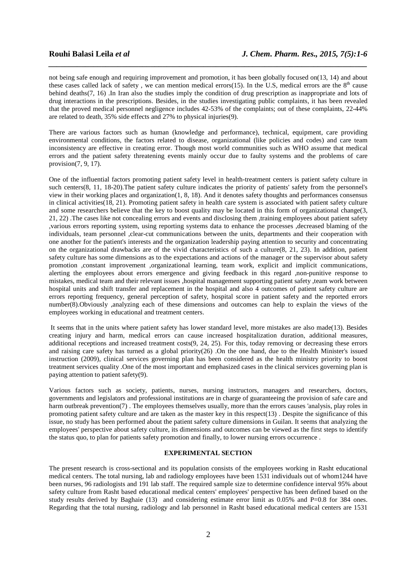not being safe enough and requiring improvement and promotion, it has been globally focused on(13, 14) and about these cases called lack of safety, we can mention medical errors(15). In the U.S, medical errors are the  $8<sup>th</sup>$  cause behind deaths(7, 16) .In Iran also the studies imply the condition of drug prescription as inappropriate and lots of drug interactions in the prescriptions. Besides, in the studies investigating public complaints, it has been revealed that the proved medical personnel negligence includes 42-53% of the complaints; out of these complaints, 22-44% are related to death, 35% side effects and 27% to physical injuries(9).

*\_\_\_\_\_\_\_\_\_\_\_\_\_\_\_\_\_\_\_\_\_\_\_\_\_\_\_\_\_\_\_\_\_\_\_\_\_\_\_\_\_\_\_\_\_\_\_\_\_\_\_\_\_\_\_\_\_\_\_\_\_\_\_\_\_\_\_\_\_\_\_\_\_\_\_\_\_\_*

There are various factors such as human (knowledge and performance), technical, equipment, care providing environmental conditions, the factors related to disease, organizational (like policies and codes) and care team inconsistency are effective in creating error. Though most world communities such as WHO assume that medical errors and the patient safety threatening events mainly occur due to faulty systems and the problems of care provision(7, 9, 17).

One of the influential factors promoting patient safety level in health-treatment centers is patient safety culture in such centers(8, 11, 18-20).The patient safety culture indicates the priority of patients' safety from the personnel's view in their working places and organization(1, 8, 18). And it denotes safety thoughts and performances consensus in clinical activities(18, 21). Promoting patient safety in health care system is associated with patient safety culture and some researchers believe that the key to boost quality may be located in this form of organizational change(3, 21, 22) .The cases like not concealing errors and events and disclosing them ,training employees about patient safety ,various errors reporting system, using reporting systems data to enhance the processes ,decreased blaming of the individuals, team personnel ,clear-cut communications between the units, departments and their cooperation with one another for the patient's interests and the organization leadership paying attention to security and concentrating on the organizational drawbacks are of the vivid characteristics of such a culture(8, 21, 23). In addition, patient safety culture has some dimensions as to the expectations and actions of the manager or the supervisor about safety promotion ,constant improvement ,organizational learning, team work, explicit and implicit communications, alerting the employees about errors emergence and giving feedback in this regard ,non-punitive response to mistakes, medical team and their relevant issues ,hospital management supporting patient safety ,team work between hospital units and shift transfer and replacement in the hospital and also 4 outcomes of patient safety culture are errors reporting frequency, general perception of safety, hospital score in patient safety and the reported errors number(8).Obviously ,analyzing each of these dimensions and outcomes can help to explain the views of the employees working in educational and treatment centers.

 It seems that in the units where patient safety has lower standard level, more mistakes are also made(13). Besides creating injury and harm, medical errors can cause increased hospitalization duration, additional measures, additional receptions and increased treatment costs(9, 24, 25). For this, today removing or decreasing these errors and raising care safety has turned as a global priority(26) .On the one hand, due to the Health Minister's issued instruction (2009), clinical services governing plan has been considered as the health ministry priority to boost treatment services quality .One of the most important and emphasized cases in the clinical services governing plan is paying attention to patient safety(9).

Various factors such as society, patients, nurses, nursing instructors, managers and researchers, doctors, governments and legislators and professional institutions are in charge of guaranteeing the provision of safe care and harm outbreak prevention(7). The employees themselves usually, more than the errors causes 'analysis, play roles in promoting patient safety culture and are taken as the master key in this respect(13) . Despite the significance of this issue, no study has been performed about the patient safety culture dimensions in Guilan. It seems that analyzing the employees' perspective about safety culture, its dimensions and outcomes can be viewed as the first steps to identify the status quo, to plan for patients safety promotion and finally, to lower nursing errors occurrence .

#### **EXPERIMENTAL SECTION**

The present research is cross-sectional and its population consists of the employees working in Rasht educational medical centers. The total nursing, lab and radiology employees have been 1531 individuals out of whom1244 have been nurses, 96 radiologists and 191 lab staff. The required sample size to determine confidence interval 95% about safety culture from Rasht based educational medical centers' employees' perspective has been defined based on the study results derived by Baghaie (13) and considering estimate error limit as 0.05% and P=0.8 for 384 ones. Regarding that the total nursing, radiology and lab personnel in Rasht based educational medical centers are 1531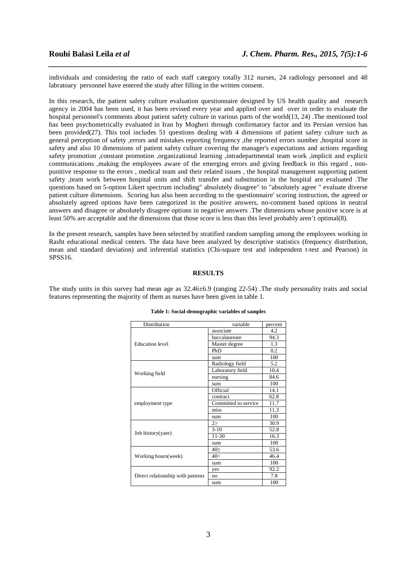individuals and considering the ratio of each staff category totally 312 nurses, 24 radiology personnel and 48 labratoary personnel have entered the study after filling in the written consent.

*\_\_\_\_\_\_\_\_\_\_\_\_\_\_\_\_\_\_\_\_\_\_\_\_\_\_\_\_\_\_\_\_\_\_\_\_\_\_\_\_\_\_\_\_\_\_\_\_\_\_\_\_\_\_\_\_\_\_\_\_\_\_\_\_\_\_\_\_\_\_\_\_\_\_\_\_\_\_*

In this research, the patient safety culture evaluation questionnaire designed by US health quality and research agency in 2004 has been used, it has been revised every year and applied over and over in order to evaluate the hospital personnel's comments about patient safety culture in various parts of the world(13, 24) .The mentioned tool has been psychometrically evaluated in Iran by Mogheri through confirmatory factor and its Persian version has been provided(27). This tool includes 51 questions dealing with 4 dimensions of patient safety culture such as general perception of safety ,errors and mistakes reporting frequency ,the reported errors number ,hospital score in safety and also 10 dimensions of patient safety culture covering the manager's expectations and actions regarding safety promotion ,constant promotion ,organizational learning ,intradepartmental team work ,implicit and explicit communications ,making the employees aware of the emerging errors and giving feedback in this regard , nonpunitive response to the errors , medical team and their related issues , the hospital management supporting patient safety ,team work between hospital units and shift transfer and substitution in the hospital are evaluated .The questions based on 5-option Likert spectrum including" absolutely disagree" to "absolutely agree " evaluate diverse patient culture dimensions. Scoring has also been according to the questionnaire' scoring instruction, the agreed or absolutely agreed options have been categorized in the positive answers, no-comment based options in neutral answers and disagree or absolutely disagree options in negative answers .The dimensions whose positive score is at least 50% are acceptable and the dimensions that those score is less than this level probably aren't optimal(8).

In the present research, samples have been selected by stratified random sampling among the employees working in Rasht educational medical centers. The data have been analyzed by descriptive statistics (frequency distribution, mean and standard deviation) and inferential statistics (Chi-square test and independent t-test and Pearson) in SPSS16.

#### **RESULTS**

The study units in this survey had mean age as 32.46±6.9 (ranging 22-54) .The study personality traits and social features representing the majority of them as nurses have been given in table 1.

| Distribution                      | variable             | percent |
|-----------------------------------|----------------------|---------|
| <b>Education</b> level            | associate            | 4.2     |
|                                   | baccalaureate        | 94.3    |
|                                   | Master degree        | 1.3     |
|                                   | PhD                  | 0.2     |
|                                   | sum                  | 100     |
| Working field                     | Radiology field      | 5.2     |
|                                   | Laboratory field     | 10.4    |
|                                   | nursing              | 84.6    |
|                                   | sum                  | 100     |
| employment type                   | Official             | 14.1    |
|                                   | contract             | 62.8    |
|                                   | Committed to service | 11.7    |
|                                   | miss                 | 11.3    |
|                                   | sum                  | 100     |
| Job history(yaer)                 | 2>                   | 30.9    |
|                                   | $3-10$               | 52.8    |
|                                   | 11-30                | 16.3    |
|                                   | sum                  | 100     |
| Working hours (week)              | 40≥                  | 53.6    |
|                                   | 40<                  | 46.4    |
|                                   | sum                  | 100     |
| Direct relationship with patients | yes                  | 92.2    |
|                                   | no                   | 7.8     |
|                                   | sum                  | 100     |

#### **Table 1: Social-demographic variables of samples**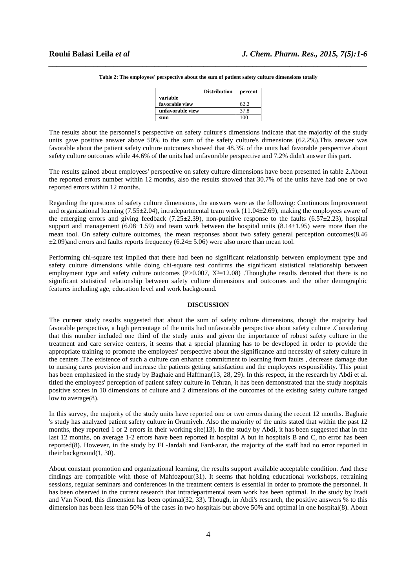|                  | <b>Distribution</b> | percent |
|------------------|---------------------|---------|
| variable         |                     |         |
| favorable view   |                     | 62.2    |
| unfavorable view |                     | 37.8    |
| sum              |                     | 100     |

*\_\_\_\_\_\_\_\_\_\_\_\_\_\_\_\_\_\_\_\_\_\_\_\_\_\_\_\_\_\_\_\_\_\_\_\_\_\_\_\_\_\_\_\_\_\_\_\_\_\_\_\_\_\_\_\_\_\_\_\_\_\_\_\_\_\_\_\_\_\_\_\_\_\_\_\_\_\_* **Table 2: The employees' perspective about the sum of patient safety culture dimensions totally** 

The results about the personnel's perspective on safety culture's dimensions indicate that the majority of the study units gave positive answer above 50% to the sum of the safety culture's dimensions (62.2%).This answer was favorable about the patient safety culture outcomes showed that 48.3% of the units had favorable perspective about safety culture outcomes while 44.6% of the units had unfavorable perspective and 7.2% didn't answer this part.

The results gained about employees' perspective on safety culture dimensions have been presented in table 2.About the reported errors number within 12 months, also the results showed that 30.7% of the units have had one or two reported errors within 12 months.

Regarding the questions of safety culture dimensions, the answers were as the following: Continuous Improvement and organizational learning (7.55±2.04), intradepartmental team work (11.04±2.69), making the employees aware of the emerging errors and giving feedback (7.25±2.39), non-punitive response to the faults (6.57±2.23), hospital support and management  $(6.08\pm1.59)$  and team work between the hospital units  $(8.14\pm1.95)$  were more than the mean tool. On safety culture outcomes, the mean responses about two safety general perception outcomes(8.46  $\pm$ 2.09)and errors and faults reports frequency (6.24 $\pm$  5.06) were also more than mean tool.

Performing chi-square test implied that there had been no significant relationship between employment type and safety culture dimensions while doing chi-square test confirms the significant statistical relationship between employment type and safety culture outcomes  $(P>0.007, X^2=12.08)$ . Though, the results denoted that there is no significant statistical relationship between safety culture dimensions and outcomes and the other demographic features including age, education level and work background.

# **DISCUSSION**

The current study results suggested that about the sum of safety culture dimensions, though the majority had favorable perspective, a high percentage of the units had unfavorable perspective about safety culture .Considering that this number included one third of the study units and given the importance of robust safety culture in the treatment and care service centers, it seems that a special planning has to be developed in order to provide the appropriate training to promote the employees' perspective about the significance and necessity of safety culture in the centers .The existence of such a culture can enhance commitment to learning from faults , decrease damage due to nursing cares provision and increase the patients getting satisfaction and the employees responsibility. This point has been emphasized in the study by Baghaie and Haffman(13, 28, 29). In this respect, in the research by Abdi et al. titled the employees' perception of patient safety culture in Tehran, it has been demonstrated that the study hospitals positive scores in 10 dimensions of culture and 2 dimensions of the outcomes of the existing safety culture ranged low to average(8).

In this survey, the majority of the study units have reported one or two errors during the recent 12 months. Baghaie 's study has analyzed patient safety culture in Orumiyeh. Also the majority of the units stated that within the past 12 months, they reported 1 or 2 errors in their working site(13). In the study by Abdi, it has been suggested that in the last 12 months, on average 1-2 errors have been reported in hospital A but in hospitals B and C, no error has been reported(8). However, in the study by EL-Jardali and Fard-azar, the majority of the staff had no error reported in their background(1, 30).

About constant promotion and organizational learning, the results support available acceptable condition. And these findings are compatible with those of Mahfozpour(31). It seems that holding educational workshops, retraining sessions, regular seminars and conferences in the treatment centers is essential in order to promote the personnel. It has been observed in the current research that intradepartmental team work has been optimal. In the study by Izadi and Van Noord, this dimension has been optimal(32, 33). Though, in Abdi's research, the positive answers % to this dimension has been less than 50% of the cases in two hospitals but above 50% and optimal in one hospital(8). About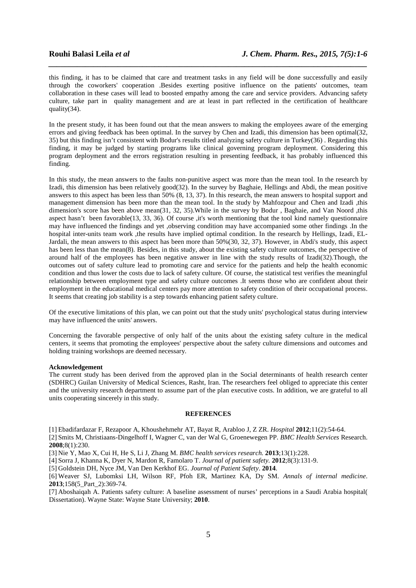this finding, it has to be claimed that care and treatment tasks in any field will be done successfully and easily through the coworkers' cooperation .Besides exerting positive influence on the patients' outcomes, team collaboration in these cases will lead to boosted empathy among the care and service providers. Advancing safety culture, take part in quality management and are at least in part reflected in the certification of healthcare quality(34).

*\_\_\_\_\_\_\_\_\_\_\_\_\_\_\_\_\_\_\_\_\_\_\_\_\_\_\_\_\_\_\_\_\_\_\_\_\_\_\_\_\_\_\_\_\_\_\_\_\_\_\_\_\_\_\_\_\_\_\_\_\_\_\_\_\_\_\_\_\_\_\_\_\_\_\_\_\_\_*

In the present study, it has been found out that the mean answers to making the employees aware of the emerging errors and giving feedback has been optimal. In the survey by Chen and Izadi, this dimension has been optimal(32, 35) but this finding isn't consistent with Bodur's results titled analyzing safety culture in Turkey(36) . Regarding this finding, it may be judged by starting programs like clinical governing program deployment. Considering this program deployment and the errors registration resulting in presenting feedback, it has probably influenced this finding.

In this study, the mean answers to the faults non-punitive aspect was more than the mean tool. In the research by Izadi, this dimension has been relatively good(32). In the survey by Baghaie, Hellings and Abdi, the mean positive answers to this aspect has been less than 50% (8, 13, 37). In this research, the mean answers to hospital support and management dimension has been more than the mean tool. In the study by Mahfozpour and Chen and Izadi ,this dimension's score has been above mean(31, 32, 35).While in the survey by Bodur , Baghaie, and Van Noord ,this aspect hasn't been favorable(13, 33, 36). Of course ,it's worth mentioning that the tool kind namely questionnaire may have influenced the findings and yet ,observing condition may have accompanied some other findings .In the hospital inter-units team work ,the results have implied optimal condition. In the research by Hellings, Izadi, EL-Jardali, the mean answers to this aspect has been more than 50%(30, 32, 37). However, in Abdi's study, this aspect has been less than the mean(8). Besides, in this study, about the existing safety culture outcomes, the perspective of around half of the employees has been negative answer in line with the study results of Izadi(32).Though, the outcomes out of safety culture lead to promoting care and service for the patients and help the health economic condition and thus lower the costs due to lack of safety culture. Of course, the statistical test verifies the meaningful relationship between employment type and safety culture outcomes .It seems those who are confident about their employment in the educational medical centers pay more attention to safety condition of their occupational process. It seems that creating job stability is a step towards enhancing patient safety culture.

Of the executive limitations of this plan, we can point out that the study units' psychological status during interview may have influenced the units' answers.

Concerning the favorable perspective of only half of the units about the existing safety culture in the medical centers, it seems that promoting the employees' perspective about the safety culture dimensions and outcomes and holding training workshops are deemed necessary.

#### **Acknowledgement**

The current study has been derived from the approved plan in the Social determinants of health research center (SDHRC) Guilan University of Medical Sciences, Rasht, Iran. The researchers feel obliged to appreciate this center and the university research department to assume part of the plan executive costs. In addition, we are grateful to all units cooperating sincerely in this study.

#### **REFERENCES**

[1] Ebadifardazar F, Rezapoor A, Khoushehmehr AT, Bayat R, Arabloo J, Z ZR. *Hospital* **2012**;11(2):54-64.

[2] Smits M, Christiaans-Dingelhoff I, Wagner C, van der Wal G, Groenewegen PP. *BMC Health Services* Research. **2008**;8(1):230.

[3] Nie Y, Mao X, Cui H, He S, Li J, Zhang M. *BMC health services research.* **2013**;13(1):228.

[4] Sorra J, Khanna K, Dyer N, Mardon R, Famolaro T. *Journal of patient safety.* **2012**;8(3):131-9.

[5] Goldstein DH, Nyce JM, Van Den Kerkhof EG. *Journal of Patient Safety*. **2014**.

[6] Weaver SJ, Lubomksi LH, Wilson RF, Pfoh ER, Martinez KA, Dy SM. *Annals of internal medicine*. **2013**;158(5\_Part\_2):369-74.

[7] Aboshaiqah A. Patients safety culture: A baseline assessment of nurses' perceptions in a Saudi Arabia hospital( Dissertation). Wayne State: Wayne State University; **2010**.